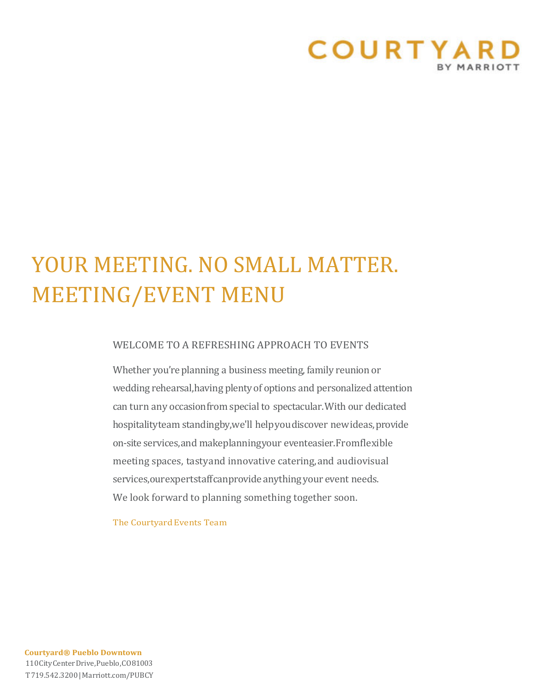

# YOUR MEETING. NO SMALL MATTER. MEETING/EVENT MENU

### WELCOME TO A REFRESHING APPROACH TO EVENTS

Whether you're planning a business meeting, family reunion or wedding rehearsal,having plenty of options and personalized attention can turn any occasionfrom special to spectacular.With our dedicated hospitalityteam standingby,we'll help you discover new ideas, provide on-site services,and makeplanningyour eventeasier. Fromflexible meeting spaces, tastyand innovative catering,and audiovisual services, our expertstaff can provide anything your event needs. We look forward to planning something together soon.

The Courtyard Events Team

**Courtyard® Pueblo Downtown** 110CityCenterDrive,Pueblo,CO81003 T719.542.3200|Marriott.com/PUBCY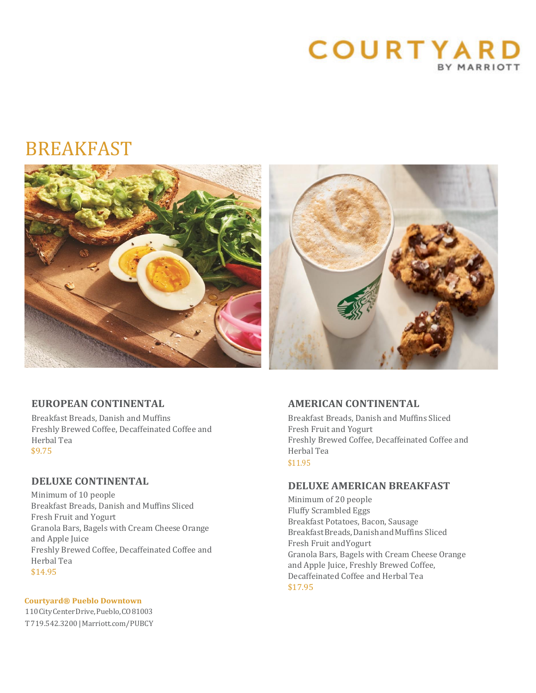

# BREAKFAST



# **EUROPEAN CONTINENTAL**

Breakfast Breads, Danish and Muffins Freshly Brewed Coffee, Decaffeinated Coffee and Herbal Tea \$9.75

### **DELUXE CONTINENTAL**

Minimum of 10 people Breakfast Breads, Danish and Muffins Sliced Fresh Fruit and Yogurt Granola Bars, Bagels with Cream Cheese Orange and Apple Juice Freshly Brewed Coffee, Decaffeinated Coffee and Herbal Tea \$14.95

#### **Courtyard® Pueblo Downtown**

110CityCenterDrive,Pueblo,CO81003 T719.542.3200|Marriott.com/PUBCY

# **AMERICAN CONTINENTAL**

Breakfast Breads, Danish and Muffins Sliced Fresh Fruit and Yogurt Freshly Brewed Coffee, Decaffeinated Coffee and Herbal Tea \$11.95

# **DELUXE AMERICAN BREAKFAST**

Minimum of 20 people Fluffy Scrambled Eggs Breakfast Potatoes, Bacon, Sausage BreakfastBreads,DanishandMuffins Sliced Fresh Fruit andYogurt Granola Bars, Bagels with Cream Cheese Orange and Apple Juice, Freshly Brewed Coffee, Decaffeinated Coffee and Herbal Tea \$17.95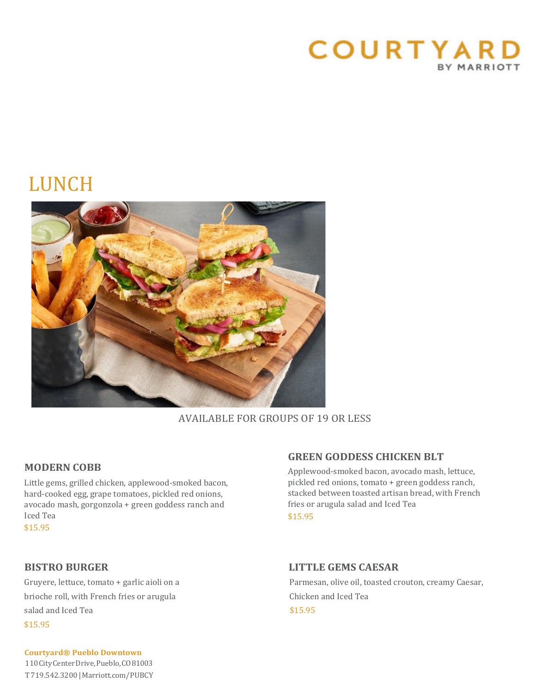

# LUNCH



# AVAILABLE FOR GROUPS OF 19 OR LESS

# **MODERN COBB**

Little gems, grilled chicken, applewood-smoked bacon, hard-cooked egg, grape tomatoes, pickled red onions, avocado mash, gorgonzola + green goddess ranch and Iced Tea

\$15.95

brioche roll, with French fries or arugula Chicken and Iced Tea salad and Iced Tea  $$15.95$ \$15.95

# **GREEN GODDESS CHICKEN BLT**

Applewood-smoked bacon, avocado mash, lettuce, pickled red onions, tomato + green goddess ranch, stacked between toasted artisan bread, with French fries or arugula salad and Iced Tea \$15.95

# **BISTRO BURGER LITTLE GEMS CAESAR**

Gruyere, lettuce, tomato + garlic aioli on a Parmesan, olive oil, toasted crouton, creamy Caesar,

### **Courtyard® Pueblo Downtown** 110CityCenterDrive,Pueblo,CO81003

T719.542.3200|Marriott.com/PUBCY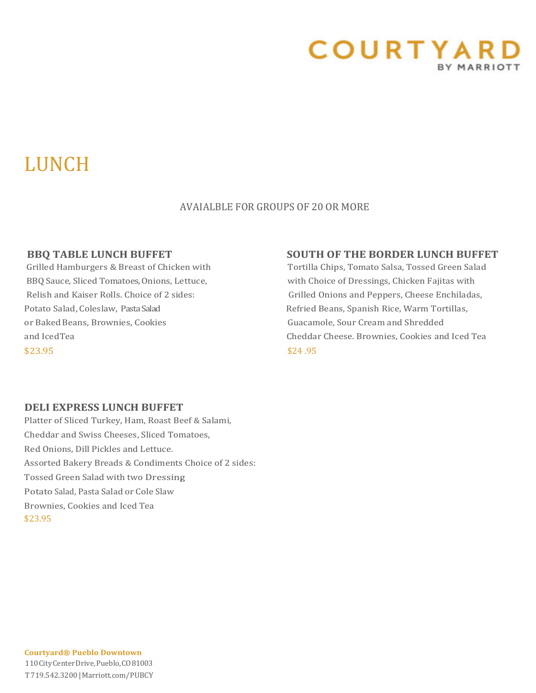

# LUNCH

# AVAIALBLE FOR GROUPS OF 20 OR MORE

Potato Salad, Coleslaw, Pasta Salad Refried Beans, Spanish Rice, Warm Tortillas, or Baked Beans, Brownies, Cookies Guacamole, Sour Cream and Shredded  $$23.95$   $$24.95$ 

# **BBQ TABLE LUNCH BUFFET SOUTH OF THE BORDER LUNCH BUFFET**

Grilled Hamburgers & Breast of Chicken with Tortilla Chips, Tomato Salsa, Tossed Green Salad BBQ Sauce, Sliced Tomatoes, Onions, Lettuce, with Choice of Dressings, Chicken Fajitas with Relish and Kaiser Rolls. Choice of 2 sides: Grilled Onions and Peppers, Cheese Enchiladas, and IcedTea Cheddar Cheese. Brownies, Cookies and Iced Tea

# **DELI EXPRESS LUNCH BUFFET**

Platter of Sliced Turkey, Ham, Roast Beef & Salami, Cheddar and Swiss Cheeses, Sliced Tomatoes, Red Onions, Dill Pickles and Lettuce. Assorted Bakery Breads & Condiments Choice of 2 sides: Tossed Green Salad with two Dressing, Potato Salad, Pasta Salad or Cole Slaw Brownies, Cookies and Iced Tea \$23.95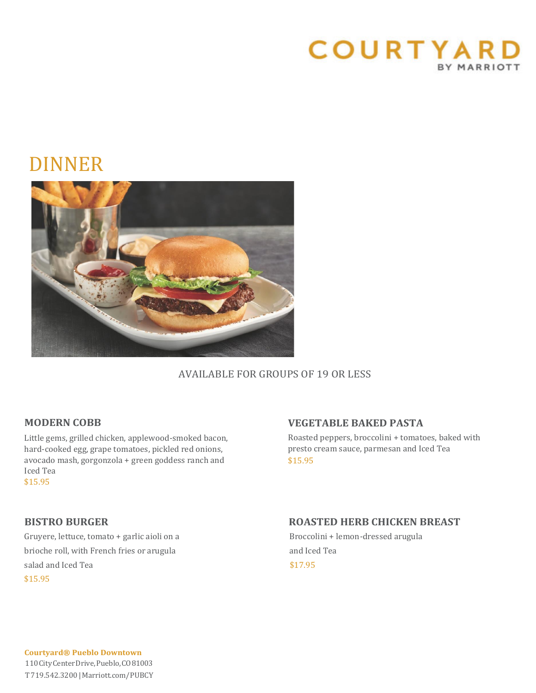

# DINNER



# AVAILABLE FOR GROUPS OF 19 OR LESS

# **MODERN COBB**

Little gems, grilled chicken, applewood-smoked bacon, hard-cooked egg, grape tomatoes, pickled red onions, avocado mash, gorgonzola + green goddess ranch and Iced Tea \$15.95

# **VEGETABLE BAKED PASTA**

Roasted peppers, broccolini + tomatoes, baked with presto cream sauce, parmesan and Iced Tea \$15.95

Gruyere, lettuce, tomato + garlic aioli on a Broccolini + lemon-dressed arugula brioche roll, with French fries or arugula and Iced Tea salad and Iced Tea  $$17.95$ \$15.95

# **BISTRO BURGER ROASTED HERB CHICKEN BREAST**

**Courtyard® Pueblo Downtown** 110CityCenterDrive,Pueblo,CO81003 T719.542.3200|Marriott.com/PUBCY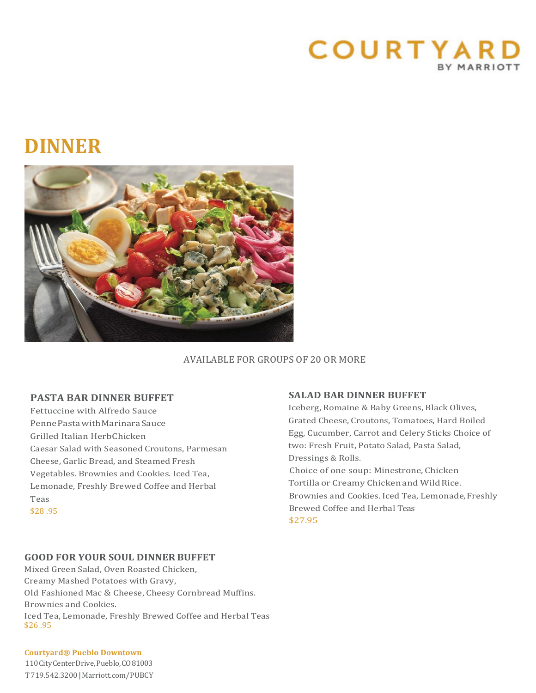

# **DINNER**



### AVAILABLE FOR GROUPS OF 20 OR MORE

### **PASTA BAR DINNER BUFFET**

Fettuccine with Alfredo Sauce PennePastawithMarinaraSauce Grilled Italian HerbChicken Caesar Salad with Seasoned Croutons, Parmesan Cheese, Garlic Bread, and Steamed Fresh Vegetables. Brownies and Cookies. Iced Tea, Lemonade, Freshly Brewed Coffee and Herbal Teas \$28 .95

# **SALAD BAR DINNER BUFFET**

Iceberg, Romaine & Baby Greens, Black Olives, Grated Cheese, Croutons, Tomatoes, Hard Boiled Egg, Cucumber, Carrot and Celery Sticks Choice of two: Fresh Fruit, Potato Salad, Pasta Salad, Dressings & Rolls.

 Choice of one soup: Minestrone, Chicken Tortilla or Creamy Chicken and Wild Rice. Brownies and Cookies. Iced Tea, Lemonade, Freshly Brewed Coffee and Herbal Teas \$27.95

#### **GOOD FOR YOUR SOUL DINNERBUFFET**

Mixed Green Salad, Oven Roasted Chicken, Creamy Mashed Potatoes with Gravy, Old Fashioned Mac & Cheese, Cheesy Cornbread Muffins. Brownies and Cookies. Iced Tea, Lemonade, Freshly Brewed Coffee and Herbal Teas \$26 .95

#### **Courtyard® Pueblo Downtown**

110CityCenterDrive,Pueblo,CO81003 T719.542.3200|Marriott.com/PUBCY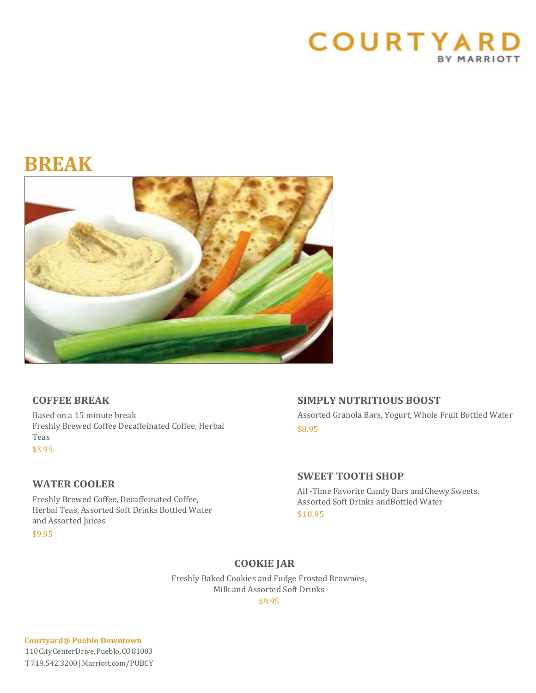

# **BREAK**



# **COFFEE BREAK**

Based on a 15 minute break Freshly Brewed Coffee Decaffeinated Coffee, Herbal Teas \$3.95

# **WATER COOLER**

Freshly Brewed Coffee, Decaffeinated Coffee, Herbal Teas, Assorted Soft Drinks Bottled Water and Assorted Juices

\$9.95

# **SIMPLY NUTRITIOUS BOOST**

Assorted Granola Bars, Yogurt, Whole Fruit Bottled Water \$8.95

# **SWEET TOOTH SHOP**

All -Time Favorite Candy Bars andChewy Sweets, Assorted Soft Drinks andBottled Water \$10.95

# **COOKIE JAR**

Freshly Baked Cookies and Fudge Frosted Brownies, Milk and Assorted Soft Drinks

\$9.95

**Courtyard® Pueblo Downtown** 110CityCenterDrive,Pueblo,CO81003 T719.542.3200|Marriott.com/PUBCY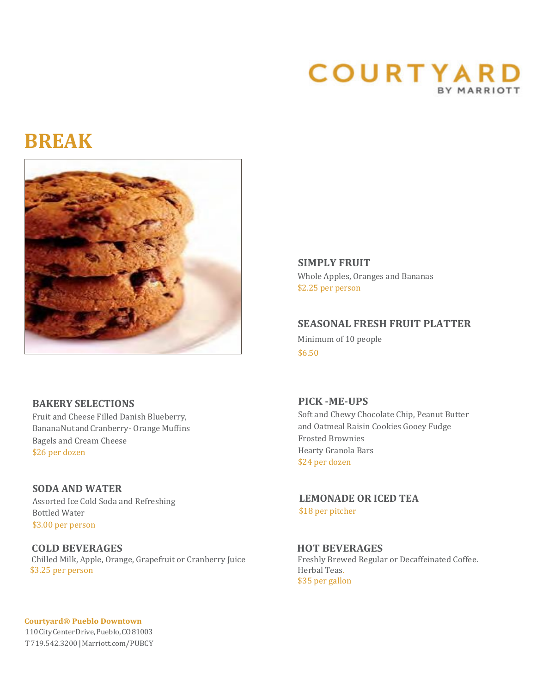# **COURTYARD** BY MARRIOTT

# **BREAK**



**SIMPLY FRUIT** Whole Apples, Oranges and Bananas \$2.25 per person

**SEASONAL FRESH FRUIT PLATTER** Minimum of 10 people \$6.50

# **BAKERY SELECTIONS**

Fruit and Cheese Filled Danish Blueberry, BananaNutandCranberry- Orange Muffins Bagels and Cream Cheese \$26 per dozen

# **SODA AND WATER**

Assorted Ice Cold Soda and Refreshing Bottled Water \$3.00 per person

### **COLD BEVERAGES**<br>
Chilled Milk, Apple, Orange, Grapefruit or Cranberry Juice<br>
Freshly Brewed Regular or Decaffeinated Coffee. **Chilled Milk, Apple, Orange, Grapefruit or Cranberry Juice** Freshly Brew<br> **S3.25 per person** Herbal Teas. \$3.25 per person

**Courtyard® Pueblo Downtown** 110CityCenterDrive,Pueblo,CO81003 T719.542.3200|Marriott.com/PUBCY

# **PICK -ME-UPS**

Soft and Chewy Chocolate Chip, Peanut Butter and Oatmeal Raisin Cookies Gooey Fudge Frosted Brownies Hearty Granola Bars \$24 per dozen

 **LEMONADE OR ICED TEA** \$18 per pitcher

\$35 per gallon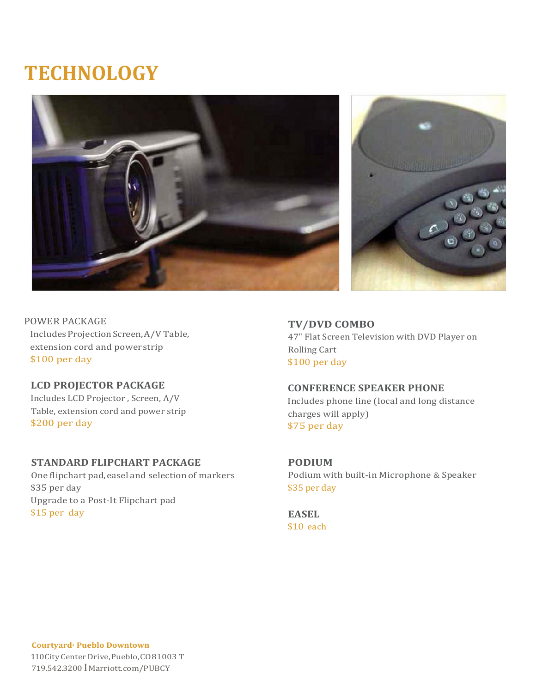# **TECHNOLOGY**





POWER PACKAGE IncludesProjectionScreen,A/V Table, extension cord and powerstrip \$100 per day

# **LCD PROJECTOR PACKAGE** Includes LCD Projector , Screen, A/V Table, extension cord and power strip \$200 per day

# **STANDARD FLIPCHART PACKAGE**

One flipchart pad,easel and selection of markers \$35 per day Upgrade to a Post-It Flipchart pad \$15 per day

**TV/DVD COMBO** 47" Flat Screen Television with DVD Player on Rolling Cart \$100 per day

### **CONFERENCE SPEAKER PHONE**

Includes phone line (local and long distance charges will apply) \$75 per day

**PODIUM** Podium with built-in Microphone & Speaker \$35 per day

**EASEL** \$10 each

**Courtyard· Pueblo Downtown** 110CityCenterDrive,Pueblo,CO81003 T 719.542.3200 IMarriott.com/PUBCY